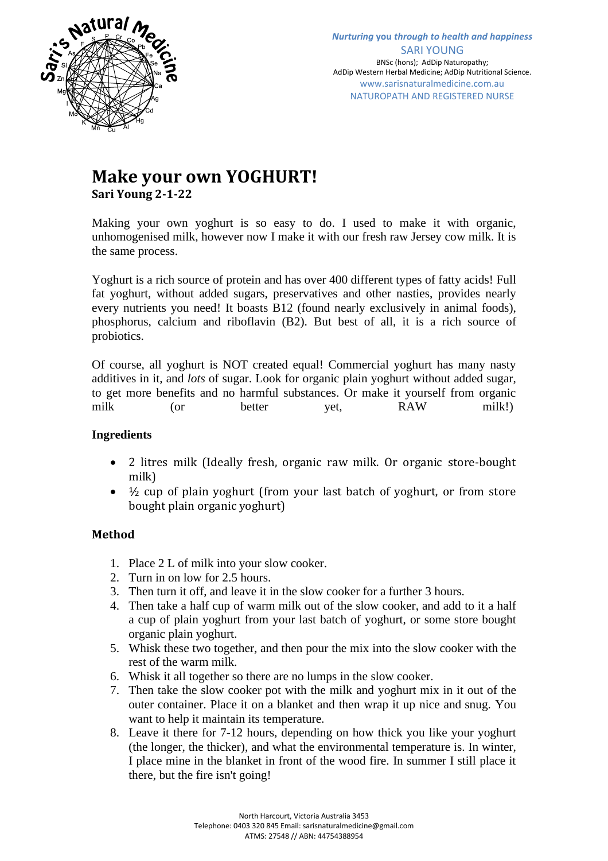

## **Make your own YOGHURT! Sari Young 2-1-22**

Making your own yoghurt is so easy to do. I used to make it with organic, unhomogenised milk, however now I make it with our fresh raw Jersey cow milk. It is the same process.

Yoghurt is a rich source of protein and has over 400 different types of fatty acids! Full fat yoghurt, without added sugars, preservatives and other nasties, provides nearly every nutrients you need! It boasts B12 (found nearly exclusively in animal foods), phosphorus, calcium and riboflavin (B2). But best of all, it is a rich source of probiotics.

Of course, all yoghurt is NOT created equal! Commercial yoghurt has many nasty additives in it, and *lots* of sugar. Look for organic plain yoghurt without added sugar, to get more benefits and no harmful substances. Or make it yourself from organic milk (or better yet, RAW milk!)

## **Ingredients**

- 2 litres milk (Ideally fresh, organic raw milk. Or organic store-bought milk)
- ½ cup of plain yoghurt (from your last batch of yoghurt, or from store bought plain organic yoghurt)

## **Method**

- 1. Place 2 L of milk into your slow cooker.
- 2. Turn in on low for 2.5 hours.
- 3. Then turn it off, and leave it in the slow cooker for a further 3 hours.
- 4. Then take a half cup of warm milk out of the slow cooker, and add to it a half a cup of plain yoghurt from your last batch of yoghurt, or some store bought organic plain yoghurt.
- 5. Whisk these two together, and then pour the mix into the slow cooker with the rest of the warm milk.
- 6. Whisk it all together so there are no lumps in the slow cooker.
- 7. Then take the slow cooker pot with the milk and yoghurt mix in it out of the outer container. Place it on a blanket and then wrap it up nice and snug. You want to help it maintain its temperature.
- 8. Leave it there for 7-12 hours, depending on how thick you like your yoghurt (the longer, the thicker), and what the environmental temperature is. In winter, I place mine in the blanket in front of the wood fire. In summer I still place it there, but the fire isn't going!